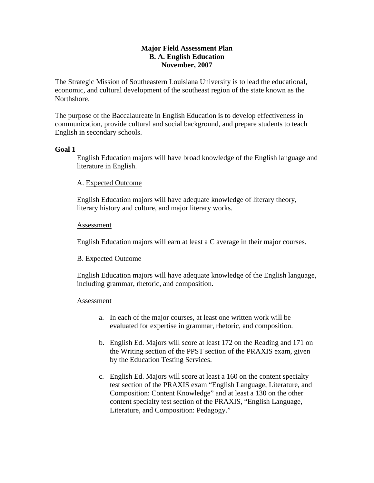# **Major Field Assessment Plan B. A. English Education November, 2007**

The Strategic Mission of Southeastern Louisiana University is to lead the educational, economic, and cultural development of the southeast region of the state known as the Northshore.

The purpose of the Baccalaureate in English Education is to develop effectiveness in communication, provide cultural and social background, and prepare students to teach English in secondary schools.

# **Goal 1**

English Education majors will have broad knowledge of the English language and literature in English.

## A. Expected Outcome

English Education majors will have adequate knowledge of literary theory, literary history and culture, and major literary works.

## Assessment

English Education majors will earn at least a C average in their major courses.

### B. Expected Outcome

English Education majors will have adequate knowledge of the English language, including grammar, rhetoric, and composition.

### Assessment

- a. In each of the major courses, at least one written work will be evaluated for expertise in grammar, rhetoric, and composition.
- b. English Ed. Majors will score at least 172 on the Reading and 171 on the Writing section of the PPST section of the PRAXIS exam, given by the Education Testing Services.
- c. English Ed. Majors will score at least a 160 on the content specialty test section of the PRAXIS exam "English Language, Literature, and Composition: Content Knowledge" and at least a 130 on the other content specialty test section of the PRAXIS, "English Language, Literature, and Composition: Pedagogy."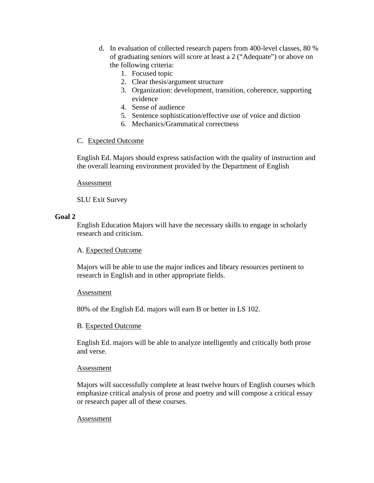- d. In evaluation of collected research papers from 400-level classes, 80 % of graduating seniors will score at least a 2 ("Adequate") or above on the following criteria:
	- 1. Focused topic
	- 2. Clear thesis/argument structure
	- 3. Organization: development, transition, coherence, supporting evidence
	- 4. Sense of audience
	- 5. Sentence sophistication/effective use of voice and diction
	- 6. Mechanics/Grammatical correctness

# C. Expected Outcome

English Ed. Majors should express satisfaction with the quality of instruction and the overall learning environment provided by the Department of English

Assessment

SLU Exit Survey

# **Goal 2**

English Education Majors will have the necessary skills to engage in scholarly research and criticism.

# A. Expected Outcome

Majors will be able to use the major indices and library resources pertinent to research in English and in other appropriate fields.

# Assessment

80% of the English Ed. majors will earn B or better in LS 102.

# B. Expected Outcome

English Ed. majors will be able to analyze intelligently and critically both prose and verse.

### Assessment

Majors will successfully complete at least twelve hours of English courses which emphasize critical analysis of prose and poetry and will compose a critical essay or research paper all of these courses.

### Assessment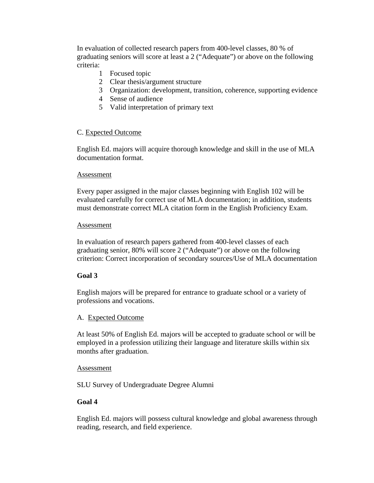In evaluation of collected research papers from 400-level classes, 80 % of graduating seniors will score at least a 2 ("Adequate") or above on the following criteria:

- 1 Focused topic
- 2 Clear thesis/argument structure
- 3 Organization: development, transition, coherence, supporting evidence
- 4 Sense of audience
- 5 Valid interpretation of primary text

## C. Expected Outcome

English Ed. majors will acquire thorough knowledge and skill in the use of MLA documentation format.

### Assessment

Every paper assigned in the major classes beginning with English 102 will be evaluated carefully for correct use of MLA documentation; in addition, students must demonstrate correct MLA citation form in the English Proficiency Exam.

### Assessment

In evaluation of research papers gathered from 400-level classes of each graduating senior, 80% will score 2 ("Adequate") or above on the following criterion: Correct incorporation of secondary sources/Use of MLA documentation

# **Goal 3**

English majors will be prepared for entrance to graduate school or a variety of professions and vocations.

# A. Expected Outcome

At least 50% of English Ed. majors will be accepted to graduate school or will be employed in a profession utilizing their language and literature skills within six months after graduation.

### Assessment

SLU Survey of Undergraduate Degree Alumni

# **Goal 4**

English Ed. majors will possess cultural knowledge and global awareness through reading, research, and field experience.